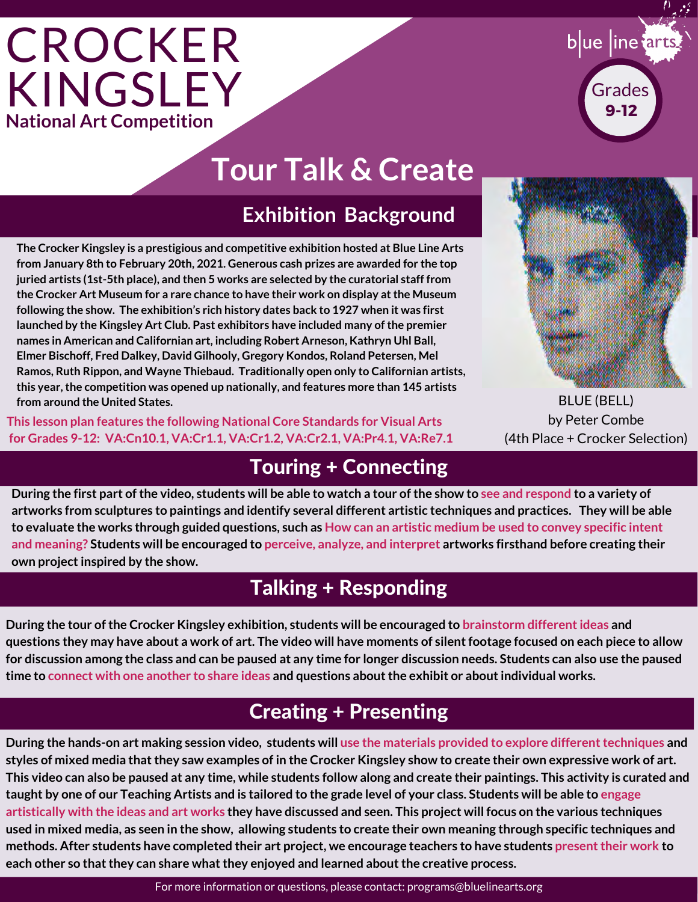## **CROCKER** KINGSLEY **National Art Competition**



### **Tour Talk & Create**

### **Exhibition Background**

**The Crocker Kingsley is a prestigious and competitive exhibition hosted at Blue Line Arts from January 8th to February 20th, 2021. Generous cash prizes are awarded for the top juried artists (1st-5th place), and then 5 works are selected by the curatorial staff from the Crocker Art Museum for a rare chance to have their work on display at the Museum following the show. The exhibition's rich history dates back to 1927 when it was first launched by the Kingsley Art Club. Past exhibitors have included many of the premier names in American and Californian art, including Robert Arneson, Kathryn Uhl Ball, Elmer Bischoff, Fred Dalkey, David Gilhooly, Gregory Kondos, Roland Petersen, Mel Ramos, Ruth Rippon, and Wayne Thiebaud. Traditionally open only to Californian artists, this year, the competition was opened up nationally, and features more than 145 artists from around the United States.** 

**This lesson plan features the following National Core Standards for Visual Arts for Grades 9-12: VA:Cn10.1, VA:Cr1.1, VA:Cr1.2, VA:Cr2.1, VA:Pr4.1, VA:Re7.1**

BLUE (BELL) by Peter Combe (4th Place + Crocker Selection)

### Touring + Connecting

**During the first part of the video, students will be able to watch a tour of the show to see and respond to a variety of artworks from sculptures to paintings and identify several different artistic techniques and practices. They will be able to evaluate the works through guided questions, such as How can an artistic medium be used to convey specific intent and meaning? Students will be encouraged to perceive, analyze, and interpret artworks firsthand before creating their own project inspired by the show.**

### Talking + Responding

**During the tour of the Crocker Kingsley exhibition, students will be encouraged to brainstorm different ideas and questions they may have about a work of art. The video will have moments of silent footage focused on each piece to allow for discussion among the class and can be paused at any time for longer discussion needs. Students can also use the paused time to connect with one another to share ideas and questions about the exhibit or about individual works.**

### Creating + Presenting

**During the hands-on art making session video, students will use the materials provided to explore different techniques and styles of mixed media that they saw examples of in the Crocker Kingsley show to create their own expressive work of art. This video can also be paused at any time, while students follow along and create their paintings. This activity is curated and taught by one of our Teaching Artists and is tailored to the grade level of your class. Students will be able to engage artistically with the ideas and art works they have discussed and seen. This project will focus on the various techniques used in mixed media, as seen in the show, allowing students to create their own meaning through specific techniques and methods. After students have completed their art project, we encourage teachers to have students present their work to each other so that they can share what they enjoyed and learned about the creative process.**